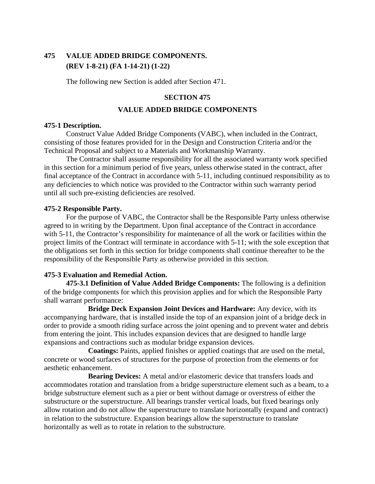# **475 VALUE ADDED BRIDGE COMPONENTS. (REV 1-8-21) (FA 1-14-21) (1-22)**

The following new Section is added after Section 471.

# **SECTION 475**

## **VALUE ADDED BRIDGE COMPONENTS**

## **475-1 Description.**

Construct Value Added Bridge Components (VABC), when included in the Contract, consisting of those features provided for in the Design and Construction Criteria and/or the Technical Proposal and subject to a Materials and Workmanship Warranty.

The Contractor shall assume responsibility for all the associated warranty work specified in this section for a minimum period of five years, unless otherwise stated in the contract, after final acceptance of the Contract in accordance with 5-11, including continued responsibility as to any deficiencies to which notice was provided to the Contractor within such warranty period until all such pre-existing deficiencies are resolved.

# **475-2 Responsible Party.**

For the purpose of VABC, the Contractor shall be the Responsible Party unless otherwise agreed to in writing by the Department. Upon final acceptance of the Contract in accordance with 5-11, the Contractor's responsibility for maintenance of all the work or facilities within the project limits of the Contract will terminate in accordance with 5-11; with the sole exception that the obligations set forth in this section for bridge components shall continue thereafter to be the responsibility of the Responsible Party as otherwise provided in this section.

# **475-3 Evaluation and Remedial Action.**

**475-3.1 Definition of Value Added Bridge Components:** The following is a definition of the bridge components for which this provision applies and for which the Responsible Party shall warrant performance:

**Bridge Deck Expansion Joint Devices and Hardware:** Any device, with its accompanying hardware, that is installed inside the top of an expansion joint of a bridge deck in order to provide a smooth riding surface across the joint opening and to prevent water and debris from entering the joint. This includes expansion devices that are designed to handle large expansions and contractions such as modular bridge expansion devices.

**Coatings:** Paints, applied finishes or applied coatings that are used on the metal, concrete or wood surfaces of structures for the purpose of protection from the elements or for aesthetic enhancement.

**Bearing Devices:** A metal and/or elastomeric device that transfers loads and accommodates rotation and translation from a bridge superstructure element such as a beam, to a bridge substructure element such as a pier or bent without damage or overstress of either the substructure or the superstructure. All bearings transfer vertical loads, but fixed bearings only allow rotation and do not allow the superstructure to translate horizontally (expand and contract) in relation to the substructure. Expansion bearings allow the superstructure to translate horizontally as well as to rotate in relation to the substructure.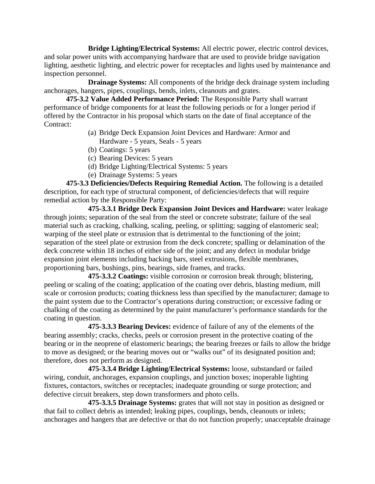**Bridge Lighting/Electrical Systems:** All electric power, electric control devices, and solar power units with accompanying hardware that are used to provide bridge navigation lighting, aesthetic lighting, and electric power for receptacles and lights used by maintenance and inspection personnel.

**Drainage Systems:** All components of the bridge deck drainage system including anchorages, hangers, pipes, couplings, bends, inlets, cleanouts and grates.

**475-3.2 Value Added Performance Period:** The Responsible Party shall warrant performance of bridge components for at least the following periods or for a longer period if offered by the Contractor in his proposal which starts on the date of final acceptance of the Contract:

- (a) Bridge Deck Expansion Joint Devices and Hardware: Armor and Hardware - 5 years, Seals - 5 years
- (b) Coatings: 5 years
- (c) Bearing Devices: 5 years
- (d) Bridge Lighting/Electrical Systems: 5 years
- (e) Drainage Systems: 5 years

**475-3.3 Deficiencies/Defects Requiring Remedial Action.** The following is a detailed description, for each type of structural component, of deficiencies/defects that will require remedial action by the Responsible Party:

**475-3.3.1 Bridge Deck Expansion Joint Devices and Hardware:** water leakage through joints; separation of the seal from the steel or concrete substrate; failure of the seal material such as cracking, chalking, scaling, peeling, or splitting; sagging of elastomeric seal; warping of the steel plate or extrusion that is detrimental to the functioning of the joint; separation of the steel plate or extrusion from the deck concrete; spalling or delamination of the deck concrete within 18 inches of either side of the joint; and any defect in modular bridge expansion joint elements including backing bars, steel extrusions, flexible membranes, proportioning bars, bushings, pins, bearings, side frames, and tracks.

**475-3.3.2 Coatings:** visible corrosion or corrosion break through; blistering, peeling or scaling of the coating; application of the coating over debris, blasting medium, mill scale or corrosion products; coating thickness less than specified by the manufacturer; damage to the paint system due to the Contractor's operations during construction; or excessive fading or chalking of the coating as determined by the paint manufacturer's performance standards for the coating in question.

**475-3.3.3 Bearing Devices:** evidence of failure of any of the elements of the bearing assembly; cracks, checks, peels or corrosion present in the protective coating of the bearing or in the neoprene of elastomeric bearings; the bearing freezes or fails to allow the bridge to move as designed; or the bearing moves out or "walks out" of its designated position and; therefore, does not perform as designed.

**475-3.3.4 Bridge Lighting/Electrical Systems:** loose, substandard or failed wiring, conduit, anchorages, expansion couplings, and junction boxes; inoperable lighting fixtures, contactors, switches or receptacles; inadequate grounding or surge protection; and defective circuit breakers, step down transformers and photo cells.

**475-3.3.5 Drainage Systems:** grates that will not stay in position as designed or that fail to collect debris as intended; leaking pipes, couplings, bends, cleanouts or inlets; anchorages and hangers that are defective or that do not function properly; unacceptable drainage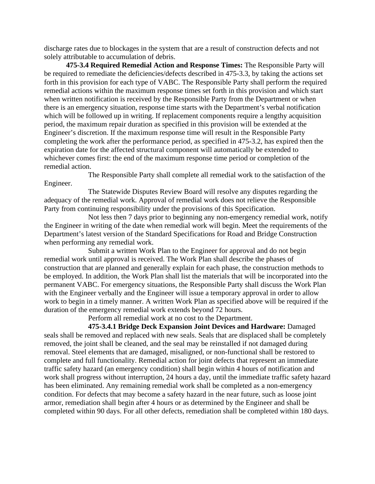discharge rates due to blockages in the system that are a result of construction defects and not solely attributable to accumulation of debris.

**475-3.4 Required Remedial Action and Response Times:** The Responsible Party will be required to remediate the deficiencies/defects described in 475-3.3, by taking the actions set forth in this provision for each type of VABC. The Responsible Party shall perform the required remedial actions within the maximum response times set forth in this provision and which start when written notification is received by the Responsible Party from the Department or when there is an emergency situation, response time starts with the Department's verbal notification which will be followed up in writing. If replacement components require a lengthy acquisition period, the maximum repair duration as specified in this provision will be extended at the Engineer's discretion. If the maximum response time will result in the Responsible Party completing the work after the performance period, as specified in 475-3.2, has expired then the expiration date for the affected structural component will automatically be extended to whichever comes first: the end of the maximum response time period or completion of the remedial action.

The Responsible Party shall complete all remedial work to the satisfaction of the Engineer.

The Statewide Disputes Review Board will resolve any disputes regarding the adequacy of the remedial work. Approval of remedial work does not relieve the Responsible Party from continuing responsibility under the provisions of this Specification.

Not less then 7 days prior to beginning any non-emergency remedial work, notify the Engineer in writing of the date when remedial work will begin. Meet the requirements of the Department's latest version of the Standard Specifications for Road and Bridge Construction when performing any remedial work.

Submit a written Work Plan to the Engineer for approval and do not begin remedial work until approval is received. The Work Plan shall describe the phases of construction that are planned and generally explain for each phase, the construction methods to be employed. In addition, the Work Plan shall list the materials that will be incorporated into the permanent VABC. For emergency situations, the Responsible Party shall discuss the Work Plan with the Engineer verbally and the Engineer will issue a temporary approval in order to allow work to begin in a timely manner. A written Work Plan as specified above will be required if the duration of the emergency remedial work extends beyond 72 hours.

Perform all remedial work at no cost to the Department.

**475-3.4.1 Bridge Deck Expansion Joint Devices and Hardware:** Damaged seals shall be removed and replaced with new seals. Seals that are displaced shall be completely removed, the joint shall be cleaned, and the seal may be reinstalled if not damaged during removal. Steel elements that are damaged, misaligned, or non-functional shall be restored to complete and full functionality. Remedial action for joint defects that represent an immediate traffic safety hazard (an emergency condition) shall begin within 4 hours of notification and work shall progress without interruption, 24 hours a day, until the immediate traffic safety hazard has been eliminated. Any remaining remedial work shall be completed as a non-emergency condition. For defects that may become a safety hazard in the near future, such as loose joint armor, remediation shall begin after 4 hours or as determined by the Engineer and shall be completed within 90 days. For all other defects, remediation shall be completed within 180 days.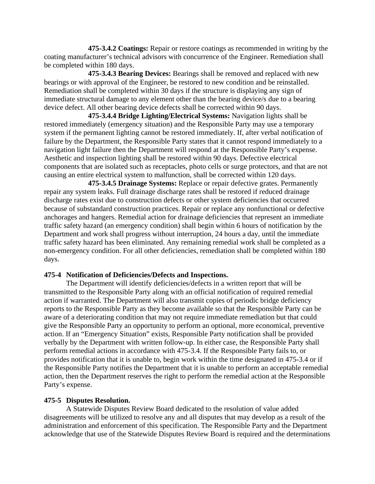**475-3.4.2 Coatings:** Repair or restore coatings as recommended in writing by the coating manufacturer's technical advisors with concurrence of the Engineer. Remediation shall be completed within 180 days.

**475-3.4.3 Bearing Devices:** Bearings shall be removed and replaced with new bearings or with approval of the Engineer, be restored to new condition and be reinstalled. Remediation shall be completed within 30 days if the structure is displaying any sign of immediate structural damage to any element other than the bearing device/s due to a bearing device defect. All other bearing device defects shall be corrected within 90 days.

**475-3.4.4 Bridge Lighting/Electrical Systems:** Navigation lights shall be restored immediately (emergency situation) and the Responsible Party may use a temporary system if the permanent lighting cannot be restored immediately. If, after verbal notification of failure by the Department, the Responsible Party states that it cannot respond immediately to a navigation light failure then the Department will respond at the Responsible Party's expense. Aesthetic and inspection lighting shall be restored within 90 days. Defective electrical components that are isolated such as receptacles, photo cells or surge protectors, and that are not causing an entire electrical system to malfunction, shall be corrected within 120 days.

**475-3.4.5 Drainage Systems:** Replace or repair defective grates. Permanently repair any system leaks. Full drainage discharge rates shall be restored if reduced drainage discharge rates exist due to construction defects or other system deficiencies that occurred because of substandard construction practices. Repair or replace any nonfunctional or defective anchorages and hangers. Remedial action for drainage deficiencies that represent an immediate traffic safety hazard (an emergency condition) shall begin within 6 hours of notification by the Department and work shall progress without interruption, 24 hours a day, until the immediate traffic safety hazard has been eliminated. Any remaining remedial work shall be completed as a non-emergency condition. For all other deficiencies, remediation shall be completed within 180 days.

## **475-4 Notification of Deficiencies/Defects and Inspections.**

The Department will identify deficiencies/defects in a written report that will be transmitted to the Responsible Party along with an official notification of required remedial action if warranted. The Department will also transmit copies of periodic bridge deficiency reports to the Responsible Party as they become available so that the Responsible Party can be aware of a deteriorating condition that may not require immediate remediation but that could give the Responsible Party an opportunity to perform an optional, more economical, preventive action. If an "Emergency Situation" exists, Responsible Party notification shall be provided verbally by the Department with written follow-up. In either case, the Responsible Party shall perform remedial actions in accordance with 475-3.4. If the Responsible Party fails to, or provides notification that it is unable to, begin work within the time designated in 475-3.4 or if the Responsible Party notifies the Department that it is unable to perform an acceptable remedial action, then the Department reserves the right to perform the remedial action at the Responsible Party's expense.

### **475-5 Disputes Resolution.**

A Statewide Disputes Review Board dedicated to the resolution of value added disagreements will be utilized to resolve any and all disputes that may develop as a result of the administration and enforcement of this specification. The Responsible Party and the Department acknowledge that use of the Statewide Disputes Review Board is required and the determinations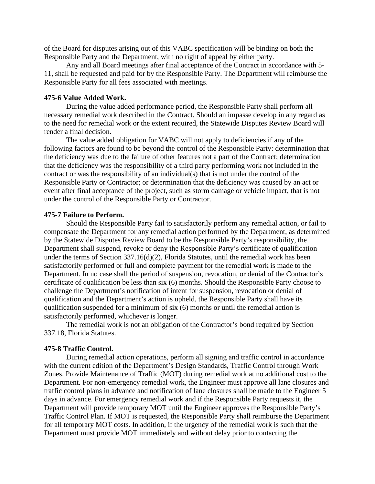of the Board for disputes arising out of this VABC specification will be binding on both the Responsible Party and the Department, with no right of appeal by either party.

Any and all Board meetings after final acceptance of the Contract in accordance with 5- 11, shall be requested and paid for by the Responsible Party. The Department will reimburse the Responsible Party for all fees associated with meetings.

### **475-6 Value Added Work.**

During the value added performance period, the Responsible Party shall perform all necessary remedial work described in the Contract. Should an impasse develop in any regard as to the need for remedial work or the extent required, the Statewide Disputes Review Board will render a final decision.

The value added obligation for VABC will not apply to deficiencies if any of the following factors are found to be beyond the control of the Responsible Party: determination that the deficiency was due to the failure of other features not a part of the Contract; determination that the deficiency was the responsibility of a third party performing work not included in the contract or was the responsibility of an individual(s) that is not under the control of the Responsible Party or Contractor; or determination that the deficiency was caused by an act or event after final acceptance of the project, such as storm damage or vehicle impact, that is not under the control of the Responsible Party or Contractor.

### **475-7 Failure to Perform.**

Should the Responsible Party fail to satisfactorily perform any remedial action, or fail to compensate the Department for any remedial action performed by the Department, as determined by the Statewide Disputes Review Board to be the Responsible Party's responsibility, the Department shall suspend, revoke or deny the Responsible Party's certificate of qualification under the terms of Section 337.16(d)(2), Florida Statutes, until the remedial work has been satisfactorily performed or full and complete payment for the remedial work is made to the Department. In no case shall the period of suspension, revocation, or denial of the Contractor's certificate of qualification be less than six (6) months. Should the Responsible Party choose to challenge the Department's notification of intent for suspension, revocation or denial of qualification and the Department's action is upheld, the Responsible Party shall have its qualification suspended for a minimum of six (6) months or until the remedial action is satisfactorily performed, whichever is longer.

The remedial work is not an obligation of the Contractor's bond required by Section 337.18, Florida Statutes.

#### **475-8 Traffic Control.**

During remedial action operations, perform all signing and traffic control in accordance with the current edition of the Department's Design Standards, Traffic Control through Work Zones. Provide Maintenance of Traffic (MOT) during remedial work at no additional cost to the Department. For non-emergency remedial work, the Engineer must approve all lane closures and traffic control plans in advance and notification of lane closures shall be made to the Engineer 5 days in advance. For emergency remedial work and if the Responsible Party requests it, the Department will provide temporary MOT until the Engineer approves the Responsible Party's Traffic Control Plan. If MOT is requested, the Responsible Party shall reimburse the Department for all temporary MOT costs. In addition, if the urgency of the remedial work is such that the Department must provide MOT immediately and without delay prior to contacting the